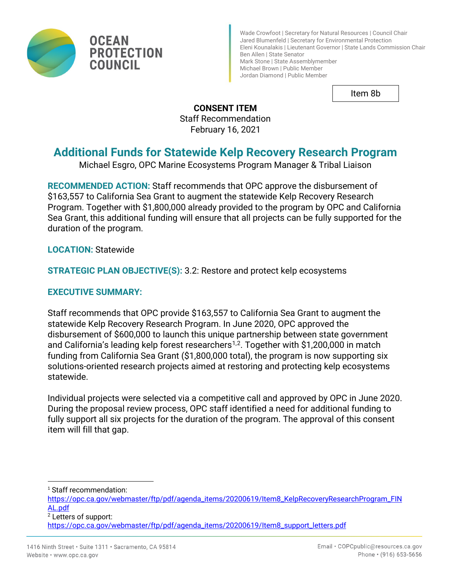

Wade Crowfoot | Secretary for Natural Resources | Council Chair Jared Blumenfeld | Secretary for Environmental Protection Eleni Kounalakis | Lieutenant Governor | State Lands Commission Chair Ben Allen | State Senator Mark Stone | State Assemblymember Michael Brown | Public Member Jordan Diamond | Public Member

Item 8b

**CONSENT ITEM** Staff Recommendation February 16, 2021

# **Additional Funds for Statewide Kelp Recovery Research Program**

Michael Esgro, OPC Marine Ecosystems Program Manager & Tribal Liaison

**RECOMMENDED ACTION:** Staff recommends that OPC approve the disbursement of \$163,557 to California Sea Grant to augment the statewide Kelp Recovery Research Program. Together with \$1,800,000 already provided to the program by OPC and California Sea Grant, this additional funding will ensure that all projects can be fully supported for the duration of the program.

**LOCATION:** Statewide

**STRATEGIC PLAN OBJECTIVE(S):** 3.2: Restore and protect kelp ecosystems

#### **EXECUTIVE SUMMARY:**

Staff recommends that OPC provide \$163,557 to California Sea Grant to augment the statewide Kelp Recovery Research Program. In June 2020, OPC approved the disbursement of \$600,000 to launch this unique partnership between state government and California's leading kelp forest researchers<sup>[1,](#page-0-0)2</sup>. Together with \$1,200,000 in match funding from California Sea Grant (\$1,800,000 total), the program is now supporting six solutions-oriented research projects aimed at restoring and protecting kelp ecosystems statewide.

Individual projects were selected via a competitive call and approved by OPC in June 2020. During the proposal review process, OPC staff identified a need for additional funding to fully support all six projects for the duration of the program. The approval of this consent item will fill that gap.

[https://opc.ca.gov/webmaster/ftp/pdf/agenda\\_items/20200619/Item8\\_KelpRecoveryResearchProgram\\_FIN](https://opc.ca.gov/webmaster/ftp/pdf/agenda_items/20200619/Item8_KelpRecoveryResearchProgram_FINAL.pdf) [AL.pdf](https://opc.ca.gov/webmaster/ftp/pdf/agenda_items/20200619/Item8_KelpRecoveryResearchProgram_FINAL.pdf)

<sup>2</sup> Letters of support:

<span id="page-0-0"></span><sup>&</sup>lt;sup>1</sup> Staff recommendation:

<span id="page-0-1"></span>[https://opc.ca.gov/webmaster/ftp/pdf/agenda\\_items/20200619/Item8\\_support\\_letters.pdf](https://opc.ca.gov/webmaster/ftp/pdf/agenda_items/20200619/Item8_support_letters.pdf)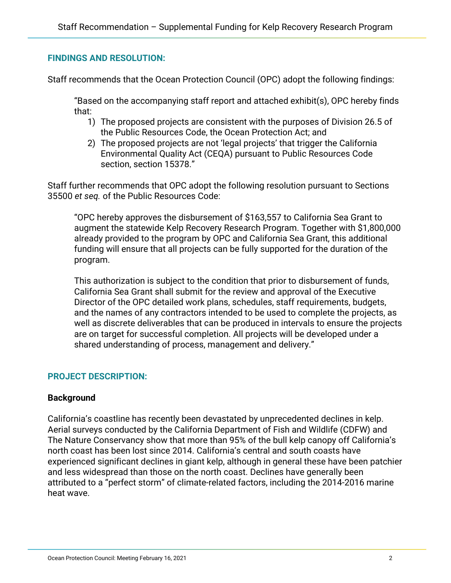### **FINDINGS AND RESOLUTION:**

Staff recommends that the Ocean Protection Council (OPC) adopt the following findings:

"Based on the accompanying staff report and attached exhibit(s), OPC hereby finds that:

- 1) The proposed projects are consistent with the purposes of Division 26.5 of the Public Resources Code, the Ocean Protection Act; and
- 2) The proposed projects are not 'legal projects' that trigger the California Environmental Quality Act (CEQA) pursuant to Public Resources Code section, section 15378."

Staff further recommends that OPC adopt the following resolution pursuant to Sections 35500 *et seq.* of the Public Resources Code:

"OPC hereby approves the disbursement of \$163,557 to California Sea Grant to augment the statewide Kelp Recovery Research Program. Together with \$1,800,000 already provided to the program by OPC and California Sea Grant, this additional funding will ensure that all projects can be fully supported for the duration of the program.

This authorization is subject to the condition that prior to disbursement of funds, California Sea Grant shall submit for the review and approval of the Executive Director of the OPC detailed work plans, schedules, staff requirements, budgets, and the names of any contractors intended to be used to complete the projects, as well as discrete deliverables that can be produced in intervals to ensure the projects are on target for successful completion. All projects will be developed under a shared understanding of process, management and delivery."

## **PROJECT DESCRIPTION:**

#### **Background**

California's coastline has recently been devastated by unprecedented declines in kelp. Aerial surveys conducted by the California Department of Fish and Wildlife (CDFW) and The Nature Conservancy show that more than 95% of the bull kelp canopy off California's north coast has been lost since 2014. California's central and south coasts have experienced significant declines in giant kelp, although in general these have been patchier and less widespread than those on the north coast. Declines have generally been attributed to a "perfect storm" of climate-related factors, including the 2014-2016 marine heat wave.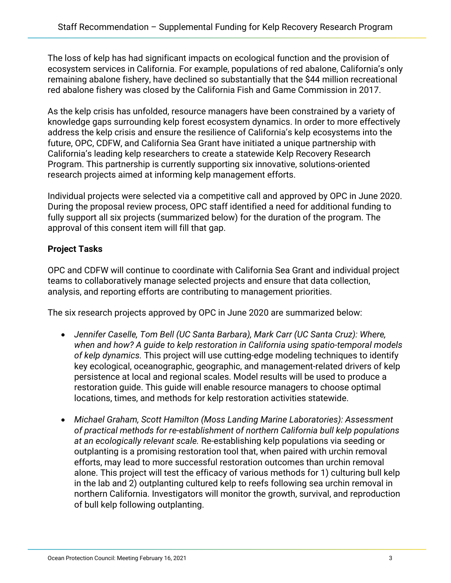The loss of kelp has had significant impacts on ecological function and the provision of ecosystem services in California. For example, populations of red abalone, California's only remaining abalone fishery, have declined so substantially that the \$44 million recreational red abalone fishery was closed by the California Fish and Game Commission in 2017.

As the kelp crisis has unfolded, resource managers have been constrained by a variety of knowledge gaps surrounding kelp forest ecosystem dynamics. In order to more effectively address the kelp crisis and ensure the resilience of California's kelp ecosystems into the future, OPC, CDFW, and California Sea Grant have initiated a unique partnership with California's leading kelp researchers to create a statewide Kelp Recovery Research Program. This partnership is currently supporting six innovative, solutions-oriented research projects aimed at informing kelp management efforts.

Individual projects were selected via a competitive call and approved by OPC in June 2020. During the proposal review process, OPC staff identified a need for additional funding to fully support all six projects (summarized below) for the duration of the program. The approval of this consent item will fill that gap.

## **Project Tasks**

OPC and CDFW will continue to coordinate with California Sea Grant and individual project teams to collaboratively manage selected projects and ensure that data collection, analysis, and reporting efforts are contributing to management priorities.

The six research projects approved by OPC in June 2020 are summarized below:

- *Jennifer Caselle, Tom Bell (UC Santa Barbara), Mark Carr (UC Santa Cruz): Where, when and how? A guide to kelp restoration in California using spatio-temporal models of kelp dynamics.* This project will use cutting-edge modeling techniques to identify key ecological, oceanographic, geographic, and management-related drivers of kelp persistence at local and regional scales. Model results will be used to produce a restoration guide. This guide will enable resource managers to choose optimal locations, times, and methods for kelp restoration activities statewide.
- *Michael Graham, Scott Hamilton (Moss Landing Marine Laboratories): Assessment of practical methods for re-establishment of northern California bull kelp populations at an ecologically relevant scale.* Re-establishing kelp populations via seeding or outplanting is a promising restoration tool that, when paired with urchin removal efforts, may lead to more successful restoration outcomes than urchin removal alone. This project will test the efficacy of various methods for 1) culturing bull kelp in the lab and 2) outplanting cultured kelp to reefs following sea urchin removal in northern California. Investigators will monitor the growth, survival, and reproduction of bull kelp following outplanting.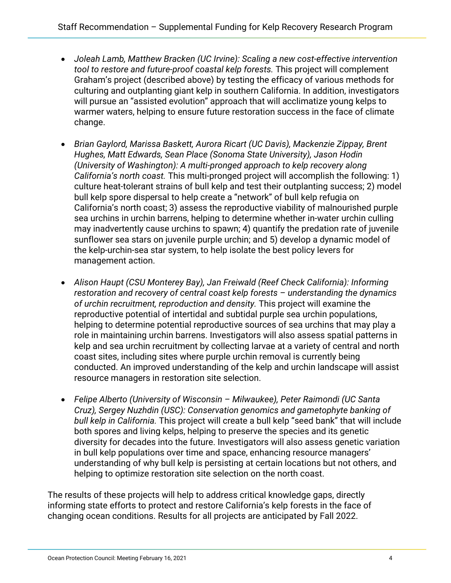- *Joleah Lamb, Matthew Bracken (UC Irvine): Scaling a new cost-effective intervention tool to restore and future-proof coastal kelp forests.* This project will complement Graham's project (described above) by testing the efficacy of various methods for culturing and outplanting giant kelp in southern California. In addition, investigators will pursue an "assisted evolution" approach that will acclimatize young kelps to warmer waters, helping to ensure future restoration success in the face of climate change.
- *Brian Gaylord, Marissa Baskett, Aurora Ricart (UC Davis), Mackenzie Zippay, Brent Hughes, Matt Edwards, Sean Place (Sonoma State University), Jason Hodin (University of Washington): A multi-pronged approach to kelp recovery along California's north coast.* This multi-pronged project will accomplish the following: 1) culture heat-tolerant strains of bull kelp and test their outplanting success; 2) model bull kelp spore dispersal to help create a "network" of bull kelp refugia on California's north coast; 3) assess the reproductive viability of malnourished purple sea urchins in urchin barrens, helping to determine whether in-water urchin culling may inadvertently cause urchins to spawn; 4) quantify the predation rate of juvenile sunflower sea stars on juvenile purple urchin; and 5) develop a dynamic model of the kelp-urchin-sea star system, to help isolate the best policy levers for management action.
- *Alison Haupt (CSU Monterey Bay), Jan Freiwald (Reef Check California): Informing restoration and recovery of central coast kelp forests – understanding the dynamics of urchin recruitment, reproduction and density.* This project will examine the reproductive potential of intertidal and subtidal purple sea urchin populations, helping to determine potential reproductive sources of sea urchins that may play a role in maintaining urchin barrens. Investigators will also assess spatial patterns in kelp and sea urchin recruitment by collecting larvae at a variety of central and north coast sites, including sites where purple urchin removal is currently being conducted. An improved understanding of the kelp and urchin landscape will assist resource managers in restoration site selection.
- *Felipe Alberto (University of Wisconsin – Milwaukee), Peter Raimondi (UC Santa Cruz), Sergey Nuzhdin (USC): Conservation genomics and gametophyte banking of bull kelp in California.* This project will create a bull kelp "seed bank" that will include both spores and living kelps, helping to preserve the species and its genetic diversity for decades into the future. Investigators will also assess genetic variation in bull kelp populations over time and space, enhancing resource managers' understanding of why bull kelp is persisting at certain locations but not others, and helping to optimize restoration site selection on the north coast.

The results of these projects will help to address critical knowledge gaps, directly informing state efforts to protect and restore California's kelp forests in the face of changing ocean conditions. Results for all projects are anticipated by Fall 2022.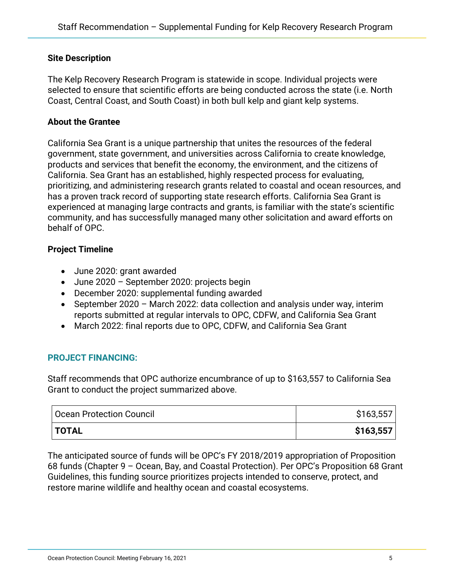#### **Site Description**

The Kelp Recovery Research Program is statewide in scope. Individual projects were selected to ensure that scientific efforts are being conducted across the state (i.e. North Coast, Central Coast, and South Coast) in both bull kelp and giant kelp systems.

#### **About the Grantee**

California Sea Grant is a unique partnership that unites the resources of the federal government, state government, and universities across California to create knowledge, products and services that benefit the economy, the environment, and the citizens of California. Sea Grant has an established, highly respected process for evaluating, prioritizing, and administering research grants related to coastal and ocean resources, and has a proven track record of supporting state research efforts. California Sea Grant is experienced at managing large contracts and grants, is familiar with the state's scientific community, and has successfully managed many other solicitation and award efforts on behalf of OPC.

#### **Project Timeline**

- June 2020: grant awarded
- June 2020 September 2020: projects begin
- December 2020: supplemental funding awarded
- September 2020 March 2022: data collection and analysis under way, interim reports submitted at regular intervals to OPC, CDFW, and California Sea Grant
- March 2022: final reports due to OPC, CDFW, and California Sea Grant

#### **PROJECT FINANCING:**

Staff recommends that OPC authorize encumbrance of up to \$163,557 to California Sea Grant to conduct the project summarized above.

| <b>Ocean Protection Council</b> | \$163,557 |
|---------------------------------|-----------|
| $\overline{\phantom{a}}$ TOTAL  | \$163,557 |

The anticipated source of funds will be OPC's FY 2018/2019 appropriation of Proposition 68 funds (Chapter 9 – Ocean, Bay, and Coastal Protection). Per OPC's Proposition 68 Grant Guidelines, this funding source prioritizes projects intended to conserve, protect, and restore marine wildlife and healthy ocean and coastal ecosystems.